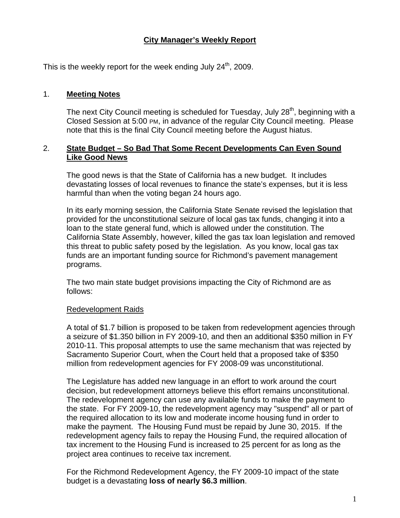# **City Manager's Weekly Report**

This is the weekly report for the week ending July  $24<sup>th</sup>$ , 2009.

#### 1. **Meeting Notes**

The next City Council meeting is scheduled for Tuesday, July  $28<sup>th</sup>$ , beginning with a Closed Session at 5:00 PM, in advance of the regular City Council meeting. Please note that this is the final City Council meeting before the August hiatus.

#### 2. **State Budget – So Bad That Some Recent Developments Can Even Sound Like Good News**

The good news is that the State of California has a new budget. It includes devastating losses of local revenues to finance the state's expenses, but it is less harmful than when the voting began 24 hours ago.

In its early morning session, the California State Senate revised the legislation that provided for the unconstitutional seizure of local gas tax funds, changing it into a loan to the state general fund, which is allowed under the constitution. The California State Assembly, however, killed the gas tax loan legislation and removed this threat to public safety posed by the legislation. As you know, local gas tax funds are an important funding source for Richmond's pavement management programs.

The two main state budget provisions impacting the City of Richmond are as follows:

#### Redevelopment Raids

A total of \$1.7 billion is proposed to be taken from redevelopment agencies through a seizure of \$1.350 billion in FY 2009-10, and then an additional \$350 million in FY 2010-11. This proposal attempts to use the same mechanism that was rejected by Sacramento Superior Court, when the Court held that a proposed take of \$350 million from redevelopment agencies for FY 2008-09 was unconstitutional.

The Legislature has added new language in an effort to work around the court decision, but redevelopment attorneys believe this effort remains unconstitutional. The redevelopment agency can use any available funds to make the payment to the state. For FY 2009-10, the redevelopment agency may "suspend" all or part of the required allocation to its low and moderate income housing fund in order to make the payment. The Housing Fund must be repaid by June 30, 2015. If the redevelopment agency fails to repay the Housing Fund, the required allocation of tax increment to the Housing Fund is increased to 25 percent for as long as the project area continues to receive tax increment.

For the Richmond Redevelopment Agency, the FY 2009-10 impact of the state budget is a devastating **loss of nearly \$6.3 million**.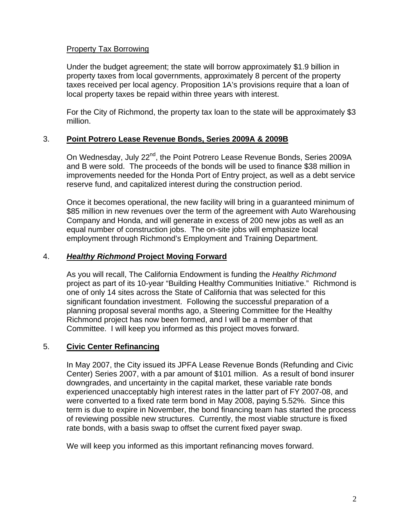### Property Tax Borrowing

Under the budget agreement; the state will borrow approximately \$1.9 billion in property taxes from local governments, approximately 8 percent of the property taxes received per local agency. Proposition 1A's provisions require that a loan of local property taxes be repaid within three years with interest.

For the City of Richmond, the property tax loan to the state will be approximately \$3 million.

## 3. **Point Potrero Lease Revenue Bonds, Series 2009A & 2009B**

On Wednesday, July 22<sup>nd</sup>, the Point Potrero Lease Revenue Bonds, Series 2009A and B were sold. The proceeds of the bonds will be used to finance \$38 million in improvements needed for the Honda Port of Entry project, as well as a debt service reserve fund, and capitalized interest during the construction period.

Once it becomes operational, the new facility will bring in a guaranteed minimum of \$85 million in new revenues over the term of the agreement with Auto Warehousing Company and Honda, and will generate in excess of 200 new jobs as well as an equal number of construction jobs. The on-site jobs will emphasize local employment through Richmond's Employment and Training Department.

## 4. *Healthy Richmond* **Project Moving Forward**

As you will recall, The California Endowment is funding the *Healthy Richmond* project as part of its 10-year "Building Healthy Communities Initiative." Richmond is one of only 14 sites across the State of California that was selected for this significant foundation investment. Following the successful preparation of a planning proposal several months ago, a Steering Committee for the Healthy Richmond project has now been formed, and I will be a member of that Committee. I will keep you informed as this project moves forward.

# 5. **Civic Center Refinancing**

In May 2007, the City issued its JPFA Lease Revenue Bonds (Refunding and Civic Center) Series 2007, with a par amount of \$101 million. As a result of bond insurer downgrades, and uncertainty in the capital market, these variable rate bonds experienced unacceptably high interest rates in the latter part of FY 2007-08, and were converted to a fixed rate term bond in May 2008, paying 5.52%. Since this term is due to expire in November, the bond financing team has started the process of reviewing possible new structures. Currently, the most viable structure is fixed rate bonds, with a basis swap to offset the current fixed payer swap.

We will keep you informed as this important refinancing moves forward.